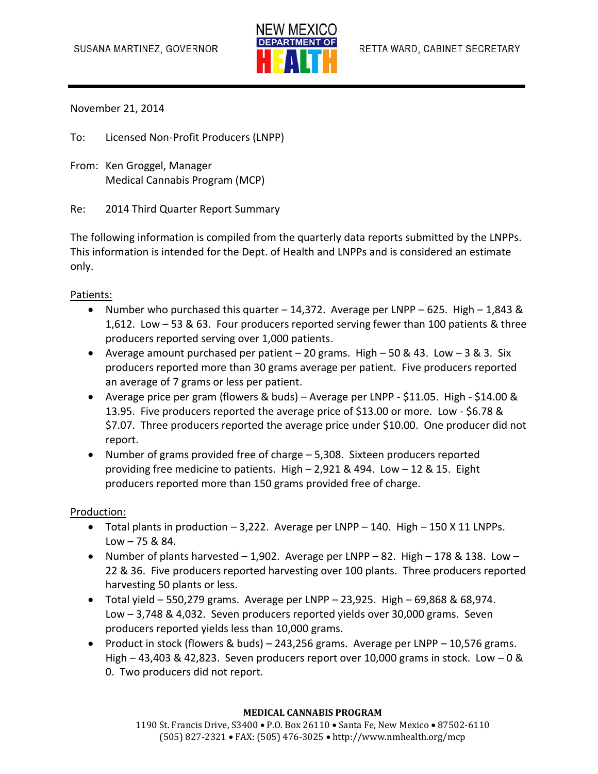

November 21, 2014

To: Licensed Non-Profit Producers (LNPP)

From: Ken Groggel, Manager Medical Cannabis Program (MCP)

Re: 2014 Third Quarter Report Summary

The following information is compiled from the quarterly data reports submitted by the LNPPs. This information is intended for the Dept. of Health and LNPPs and is considered an estimate only.

#### Patients:

- Number who purchased this quarter 14,372. Average per LNPP 625. High 1,843 & 1,612. Low – 53 & 63. Four producers reported serving fewer than 100 patients & three producers reported serving over 1,000 patients.
- Average amount purchased per patient  $-20$  grams. High  $-50$  & 43. Low  $-3$  & 3. Six producers reported more than 30 grams average per patient. Five producers reported an average of 7 grams or less per patient.
- Average price per gram (flowers & buds) Average per LNPP \$11.05. High \$14.00 & 13.95. Five producers reported the average price of \$13.00 or more. Low - \$6.78 & \$7.07. Three producers reported the average price under \$10.00. One producer did not report.
- Number of grams provided free of charge 5,308. Sixteen producers reported providing free medicine to patients. High – 2,921 & 494. Low – 12 & 15. Eight producers reported more than 150 grams provided free of charge.

#### Production:

- $\bullet$  Total plants in production  $-3,222$ . Average per LNPP  $-140$ . High  $-150$  X 11 LNPPs.  $Low - 75 & 884.$
- Number of plants harvested  $-1,902$ . Average per LNPP  $-82$ . High  $-178$  & 138. Low  $-$ 22 & 36. Five producers reported harvesting over 100 plants. Three producers reported harvesting 50 plants or less.
- $\bullet$  Total yield 550,279 grams. Average per LNPP 23,925. High 69,868 & 68,974. Low – 3,748 & 4,032. Seven producers reported yields over 30,000 grams. Seven producers reported yields less than 10,000 grams.
- Product in stock (flowers & buds) 243,256 grams. Average per LNPP 10,576 grams. High  $-$  43,403 & 42,823. Seven producers report over 10,000 grams in stock. Low  $-0$  & 0. Two producers did not report.

#### **MEDICAL CANNABIS PROGRAM**